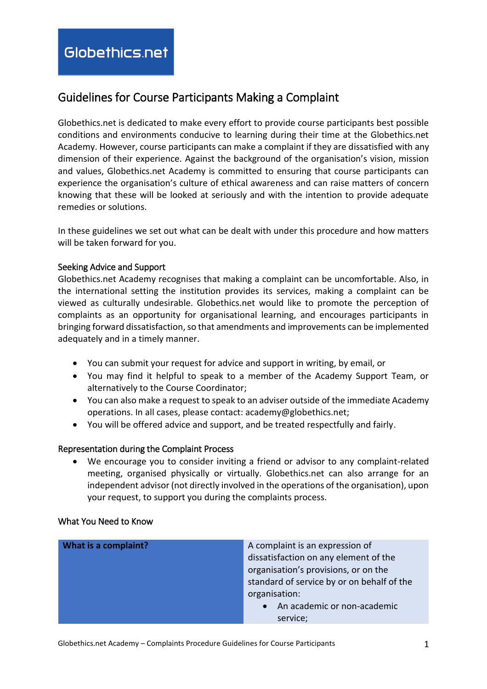# Guidelines for Course Participants Making a Complaint

Globethics.net is dedicated to make every effort to provide course participants best possible conditions and environments conducive to learning during their time at the Globethics.net Academy. However, course participants can make a complaint if they are dissatisfied with any dimension of their experience. Against the background of the organisation's vision, mission and values, Globethics.net Academy is committed to ensuring that course participants can experience the organisation's culture of ethical awareness and can raise matters of concern knowing that these will be looked at seriously and with the intention to provide adequate remedies or solutions.

In these guidelines we set out what can be dealt with under this procedure and how matters will be taken forward for you.

# Seeking Advice and Support

Globethics.net Academy recognises that making a complaint can be uncomfortable. Also, in the international setting the institution provides its services, making a complaint can be viewed as culturally undesirable. Globethics.net would like to promote the perception of complaints as an opportunity for organisational learning, and encourages participants in bringing forward dissatisfaction, so that amendments and improvements can be implemented adequately and in a timely manner.

- You can submit your request for advice and support in writing, by email, or
- You may find it helpful to speak to a member of the Academy Support Team, or alternatively to the Course Coordinator;
- You can also make a request to speak to an adviser outside of the immediate Academy operations. In all cases, please contact: academy@globethics.net;
- You will be offered advice and support, and be treated respectfully and fairly.

#### Representation during the Complaint Process

 We encourage you to consider inviting a friend or advisor to any complaint-related meeting, organised physically or virtually. Globethics.net can also arrange for an independent advisor (not directly involved in the operations of the organisation), upon your request, to support you during the complaints process.

#### What You Need to Know

| What is a complaint? | A complaint is an expression of<br>dissatisfaction on any element of the<br>organisation's provisions, or on the<br>standard of service by or on behalf of the<br>organisation: |
|----------------------|---------------------------------------------------------------------------------------------------------------------------------------------------------------------------------|
|                      | • An academic or non-academic<br>service;                                                                                                                                       |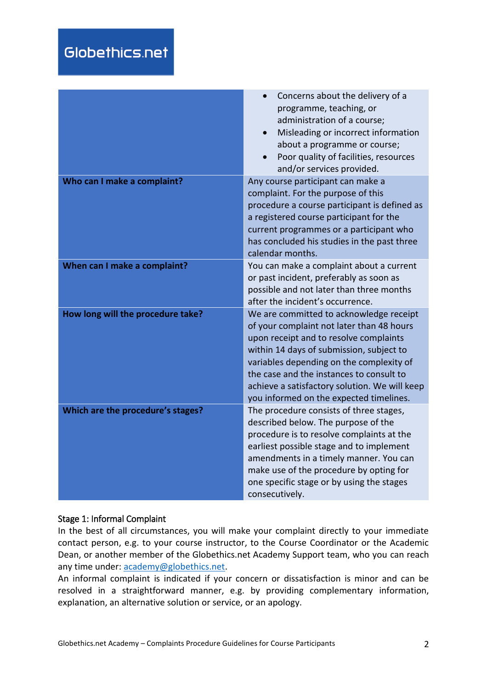|                                   | Concerns about the delivery of a<br>programme, teaching, or<br>administration of a course;<br>Misleading or incorrect information<br>about a programme or course;<br>Poor quality of facilities, resources<br>and/or services provided.                                                                                                                        |
|-----------------------------------|----------------------------------------------------------------------------------------------------------------------------------------------------------------------------------------------------------------------------------------------------------------------------------------------------------------------------------------------------------------|
| Who can I make a complaint?       | Any course participant can make a<br>complaint. For the purpose of this<br>procedure a course participant is defined as<br>a registered course participant for the<br>current programmes or a participant who<br>has concluded his studies in the past three<br>calendar months.                                                                               |
| When can I make a complaint?      | You can make a complaint about a current<br>or past incident, preferably as soon as<br>possible and not later than three months<br>after the incident's occurrence.                                                                                                                                                                                            |
| How long will the procedure take? | We are committed to acknowledge receipt<br>of your complaint not later than 48 hours<br>upon receipt and to resolve complaints<br>within 14 days of submission, subject to<br>variables depending on the complexity of<br>the case and the instances to consult to<br>achieve a satisfactory solution. We will keep<br>you informed on the expected timelines. |
| Which are the procedure's stages? | The procedure consists of three stages,<br>described below. The purpose of the<br>procedure is to resolve complaints at the<br>earliest possible stage and to implement<br>amendments in a timely manner. You can<br>make use of the procedure by opting for<br>one specific stage or by using the stages<br>consecutively.                                    |

#### Stage 1: Informal Complaint

In the best of all circumstances, you will make your complaint directly to your immediate contact person, e.g. to your course instructor, to the Course Coordinator or the Academic Dean, or another member of the Globethics.net Academy Support team, who you can reach any time under: [academy@globethics.net.](mailto:academy@globethics.net)

An informal complaint is indicated if your concern or dissatisfaction is minor and can be resolved in a straightforward manner, e.g. by providing complementary information, explanation, an alternative solution or service, or an apology.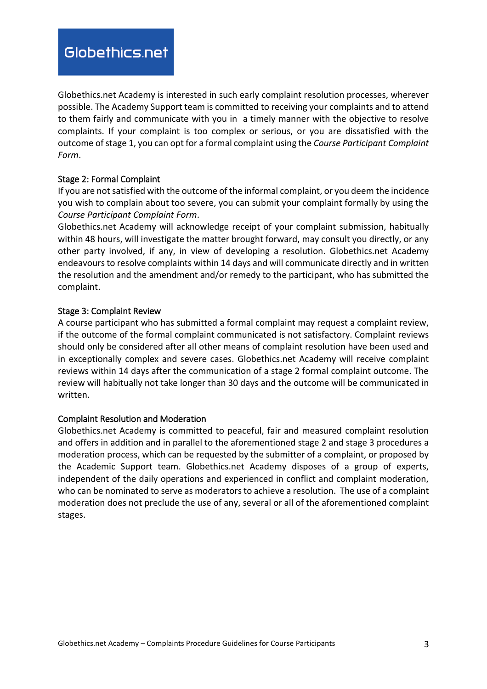Globethics.net Academy is interested in such early complaint resolution processes, wherever possible. The Academy Support team is committed to receiving your complaints and to attend to them fairly and communicate with you in a timely manner with the objective to resolve complaints. If your complaint is too complex or serious, or you are dissatisfied with the outcome of stage 1, you can opt for a formal complaint using the *Course Participant Complaint Form*.

# Stage 2: Formal Complaint

If you are not satisfied with the outcome of the informal complaint, or you deem the incidence you wish to complain about too severe, you can submit your complaint formally by using the *Course Participant Complaint Form*.

Globethics.net Academy will acknowledge receipt of your complaint submission, habitually within 48 hours, will investigate the matter brought forward, may consult you directly, or any other party involved, if any, in view of developing a resolution. Globethics.net Academy endeavours to resolve complaints within 14 days and will communicate directly and in written the resolution and the amendment and/or remedy to the participant, who has submitted the complaint.

# Stage 3: Complaint Review

A course participant who has submitted a formal complaint may request a complaint review, if the outcome of the formal complaint communicated is not satisfactory. Complaint reviews should only be considered after all other means of complaint resolution have been used and in exceptionally complex and severe cases. Globethics.net Academy will receive complaint reviews within 14 days after the communication of a stage 2 formal complaint outcome. The review will habitually not take longer than 30 days and the outcome will be communicated in written.

#### Complaint Resolution and Moderation

Globethics.net Academy is committed to peaceful, fair and measured complaint resolution and offers in addition and in parallel to the aforementioned stage 2 and stage 3 procedures a moderation process, which can be requested by the submitter of a complaint, or proposed by the Academic Support team. Globethics.net Academy disposes of a group of experts, independent of the daily operations and experienced in conflict and complaint moderation, who can be nominated to serve as moderators to achieve a resolution. The use of a complaint moderation does not preclude the use of any, several or all of the aforementioned complaint stages.